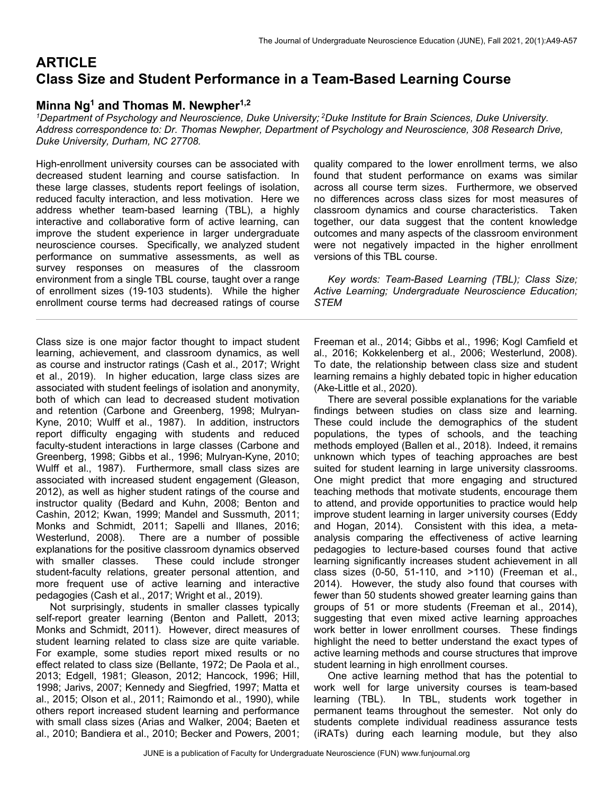# **ARTICLE Class Size and Student Performance in a Team-Based Learning Course**

## **Minna Ng1 and Thomas M. Newpher1,2**

*1Department of Psychology and Neuroscience, Duke University; 2Duke Institute for Brain Sciences, Duke University. Address correspondence to: Dr. Thomas Newpher, Department of Psychology and Neuroscience, 308 Research Drive, Duke University, Durham, NC 27708.* 

High-enrollment university courses can be associated with decreased student learning and course satisfaction. In these large classes, students report feelings of isolation, reduced faculty interaction, and less motivation. Here we address whether team-based learning (TBL), a highly interactive and collaborative form of active learning, can improve the student experience in larger undergraduate neuroscience courses. Specifically, we analyzed student performance on summative assessments, as well as survey responses on measures of the classroom environment from a single TBL course, taught over a range of enrollment sizes (19-103 students). While the higher enrollment course terms had decreased ratings of course

Class size is one major factor thought to impact student learning, achievement, and classroom dynamics, as well as course and instructor ratings (Cash et al., 2017; Wright et al., 2019). In higher education, large class sizes are associated with student feelings of isolation and anonymity, both of which can lead to decreased student motivation and retention (Carbone and Greenberg, 1998; Mulryan-Kyne, 2010; Wulff et al., 1987). In addition, instructors report difficulty engaging with students and reduced faculty-student interactions in large classes (Carbone and Greenberg, 1998; Gibbs et al., 1996; Mulryan-Kyne, 2010; Wulff et al., 1987). Furthermore, small class sizes are associated with increased student engagement (Gleason, 2012), as well as higher student ratings of the course and instructor quality (Bedard and Kuhn, 2008; Benton and Cashin, 2012; Kwan, 1999; Mandel and Sussmuth, 2011; Monks and Schmidt, 2011; Sapelli and Illanes, 2016; Westerlund, 2008). There are a number of possible explanations for the positive classroom dynamics observed with smaller classes. These could include stronger student-faculty relations, greater personal attention, and more frequent use of active learning and interactive pedagogies (Cash et al., 2017; Wright et al., 2019).

 Not surprisingly, students in smaller classes typically self-report greater learning (Benton and Pallett, 2013; Monks and Schmidt, 2011). However, direct measures of student learning related to class size are quite variable. For example, some studies report mixed results or no effect related to class size (Bellante, 1972; De Paola et al., 2013; Edgell, 1981; Gleason, 2012; Hancock, 1996; Hill, 1998; Jarivs, 2007; Kennedy and Siegfried, 1997; Matta et al., 2015; Olson et al., 2011; Raimondo et al., 1990), while others report increased student learning and performance with small class sizes (Arias and Walker, 2004; Baeten et al., 2010; Bandiera et al., 2010; Becker and Powers, 2001;

quality compared to the lower enrollment terms, we also found that student performance on exams was similar across all course term sizes. Furthermore, we observed no differences across class sizes for most measures of classroom dynamics and course characteristics. Taken together, our data suggest that the content knowledge outcomes and many aspects of the classroom environment were not negatively impacted in the higher enrollment versions of this TBL course.

 *Key words: Team-Based Learning (TBL); Class Size; Active Learning; Undergraduate Neuroscience Education; STEM*

Freeman et al., 2014; Gibbs et al., 1996; Kogl Camfield et al., 2016; Kokkelenberg et al., 2006; Westerlund, 2008). To date, the relationship between class size and student learning remains a highly debated topic in higher education (Ake-Little et al., 2020).

 There are several possible explanations for the variable findings between studies on class size and learning. These could include the demographics of the student populations, the types of schools, and the teaching methods employed (Ballen et al., 2018). Indeed, it remains unknown which types of teaching approaches are best suited for student learning in large university classrooms. One might predict that more engaging and structured teaching methods that motivate students, encourage them to attend, and provide opportunities to practice would help improve student learning in larger university courses (Eddy and Hogan, 2014). Consistent with this idea, a metaanalysis comparing the effectiveness of active learning pedagogies to lecture-based courses found that active learning significantly increases student achievement in all class sizes (0-50, 51-110, and >110) (Freeman et al., 2014). However, the study also found that courses with fewer than 50 students showed greater learning gains than groups of 51 or more students (Freeman et al., 2014), suggesting that even mixed active learning approaches work better in lower enrollment courses. These findings highlight the need to better understand the exact types of active learning methods and course structures that improve student learning in high enrollment courses.

 One active learning method that has the potential to work well for large university courses is team-based learning (TBL). In TBL, students work together in permanent teams throughout the semester. Not only do students complete individual readiness assurance tests (iRATs) during each learning module, but they also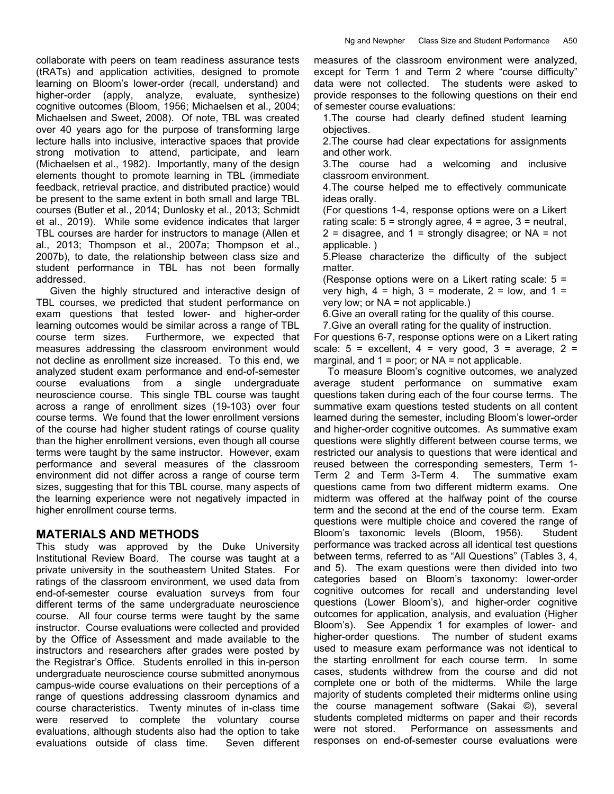collaborate with peers on team readiness assurance tests (tRATs) and application activities, designed to promote learning on Bloom's lower-order (recall, understand) and higher-order (apply, analyze, evaluate, synthesize) cognitive outcomes (Bloom, 1956; Michaelsen et al., 2004; Michaelsen and Sweet, 2008). Of note, TBL was created over 40 years ago for the purpose of transforming large lecture halls into inclusive, interactive spaces that provide strong motivation to attend, participate, and learn (Michaelsen et al., 1982). Importantly, many of the design elements thought to promote learning in TBL (immediate feedback, retrieval practice, and distributed practice) would be present to the same extent in both small and large TBL courses (Butler et al., 2014; Dunlosky et al., 2013; Schmidt et al., 2019). While some evidence indicates that larger TBL courses are harder for instructors to manage (Allen et al., 2013; Thompson et al., 2007a; Thompson et al., 2007b), to date, the relationship between class size and student performance in TBL has not been formally addressed.

 Given the highly structured and interactive design of TBL courses, we predicted that student performance on exam questions that tested lower- and higher-order learning outcomes would be similar across a range of TBL course term sizes. Furthermore, we expected that measures addressing the classroom environment would not decline as enrollment size increased. To this end, we analyzed student exam performance and end-of-semester course evaluations from a single undergraduate neuroscience course. This single TBL course was taught across a range of enrollment sizes (19-103) over four course terms. We found that the lower enrollment versions of the course had higher student ratings of course quality than the higher enrollment versions, even though all course terms were taught by the same instructor. However, exam performance and several measures of the classroom environment did not differ across a range of course term sizes, suggesting that for this TBL course, many aspects of the learning experience were not negatively impacted in higher enrollment course terms.

### **MATERIALS AND METHODS**

This study was approved by the Duke University Institutional Review Board. The course was taught at a private university in the southeastern United States. For ratings of the classroom environment, we used data from end-of-semester course evaluation surveys from four different terms of the same undergraduate neuroscience course. All four course terms were taught by the same instructor. Course evaluations were collected and provided by the Office of Assessment and made available to the instructors and researchers after grades were posted by the Registrar's Office. Students enrolled in this in-person undergraduate neuroscience course submitted anonymous campus-wide course evaluations on their perceptions of a range of questions addressing classroom dynamics and course characteristics. Twenty minutes of in-class time were reserved to complete the voluntary course evaluations, although students also had the option to take evaluations outside of class time. Seven different measures of the classroom environment were analyzed, except for Term 1 and Term 2 where "course difficulty" data were not collected. The students were asked to provide responses to the following questions on their end of semester course evaluations:

1.The course had clearly defined student learning objectives.

2.The course had clear expectations for assignments and other work.

3.The course had a welcoming and inclusive classroom environment.

4.The course helped me to effectively communicate ideas orally.

(For questions 1-4, response options were on a Likert rating scale:  $5 =$  strongly agree,  $4 =$  agree,  $3 =$  neutral,  $2 =$  disagree, and  $1 =$  strongly disagree; or NA = not applicable. )

5.Please characterize the difficulty of the subject matter.

(Response options were on a Likert rating scale: 5 = very high,  $4 =$  high,  $3 =$  moderate,  $2 =$  low, and  $1 =$ very low; or NA = not applicable.)

6.Give an overall rating for the quality of this course.

7.Give an overall rating for the quality of instruction.

For questions 6-7, response options were on a Likert rating scale:  $5 =$  excellent,  $4 =$  very good,  $3 =$  average,  $2 =$ marginal, and  $1 =$  poor; or NA = not applicable.

 To measure Bloom's cognitive outcomes, we analyzed average student performance on summative exam questions taken during each of the four course terms. The summative exam questions tested students on all content learned during the semester, including Bloom's lower-order and higher-order cognitive outcomes. As summative exam questions were slightly different between course terms, we restricted our analysis to questions that were identical and reused between the corresponding semesters, Term 1- Term 2 and Term 3-Term 4. The summative exam questions came from two different midterm exams. One midterm was offered at the halfway point of the course term and the second at the end of the course term. Exam questions were multiple choice and covered the range of Bloom's taxonomic levels (Bloom, 1956). Student performance was tracked across all identical test questions between terms, referred to as "All Questions" (Tables 3, 4, and 5). The exam questions were then divided into two categories based on Bloom's taxonomy: lower-order cognitive outcomes for recall and understanding level questions (Lower Bloom's), and higher-order cognitive outcomes for application, analysis, and evaluation (Higher Bloom's). See Appendix 1 for examples of lower- and higher-order questions. The number of student exams used to measure exam performance was not identical to the starting enrollment for each course term. In some cases, students withdrew from the course and did not complete one or both of the midterms. While the large majority of students completed their midterms online using the course management software (Sakai ©), several students completed midterms on paper and their records were not stored. Performance on assessments and responses on end-of-semester course evaluations were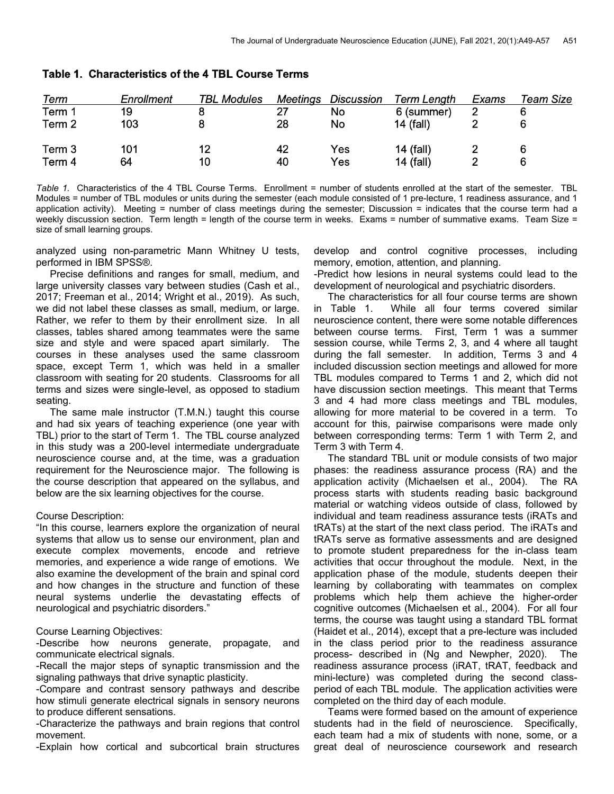| Term   | Enrollment | <b>TBL Modules</b> | Meetings | <b>Discussion</b> | <b>Term Length</b> | Exams | Team Size |
|--------|------------|--------------------|----------|-------------------|--------------------|-------|-----------|
| Term 1 | 19         |                    |          | No                | 6 (summer)         |       |           |
| Term 2 | 103        |                    | 28       | No                | 14 (fall)          |       |           |
| Term 3 | 101        | 12                 | 42       | Yes               | 14 (fall)          |       |           |
| Term 4 | 64         | 10                 | 40       | Yes               | 14 (fall)          |       | 6         |

### Table 1. Characteristics of the 4 TBL Course Terms

*Table 1.* Characteristics of the 4 TBL Course Terms. Enrollment = number of students enrolled at the start of the semester. TBL Modules = number of TBL modules or units during the semester (each module consisted of 1 pre-lecture, 1 readiness assurance, and 1 application activity). Meeting = number of class meetings during the semester; Discussion = indicates that the course term had a weekly discussion section. Term length = length of the course term in weeks. Exams = number of summative exams. Team Size = size of small learning groups.

analyzed using non-parametric Mann Whitney U tests, performed in IBM SPSS®.

 Precise definitions and ranges for small, medium, and large university classes vary between studies (Cash et al., 2017; Freeman et al., 2014; Wright et al., 2019). As such, we did not label these classes as small, medium, or large. Rather, we refer to them by their enrollment size. In all classes, tables shared among teammates were the same size and style and were spaced apart similarly. The courses in these analyses used the same classroom space, except Term 1, which was held in a smaller classroom with seating for 20 students. Classrooms for all terms and sizes were single-level, as opposed to stadium seating.

 The same male instructor (T.M.N.) taught this course and had six years of teaching experience (one year with TBL) prior to the start of Term 1. The TBL course analyzed in this study was a 200-level intermediate undergraduate neuroscience course and, at the time, was a graduation requirement for the Neuroscience major. The following is the course description that appeared on the syllabus, and below are the six learning objectives for the course.

#### Course Description:

"In this course, learners explore the organization of neural systems that allow us to sense our environment, plan and execute complex movements, encode and retrieve memories, and experience a wide range of emotions. We also examine the development of the brain and spinal cord and how changes in the structure and function of these neural systems underlie the devastating effects of neurological and psychiatric disorders."

#### Course Learning Objectives:

-Describe how neurons generate, propagate, and communicate electrical signals.

-Recall the major steps of synaptic transmission and the signaling pathways that drive synaptic plasticity.

-Compare and contrast sensory pathways and describe how stimuli generate electrical signals in sensory neurons to produce different sensations.

-Characterize the pathways and brain regions that control movement.

-Explain how cortical and subcortical brain structures

develop and control cognitive processes, including memory, emotion, attention, and planning.

-Predict how lesions in neural systems could lead to the development of neurological and psychiatric disorders.

 The characteristics for all four course terms are shown in Table 1. While all four terms covered similar neuroscience content, there were some notable differences between course terms. First, Term 1 was a summer session course, while Terms 2, 3, and 4 where all taught during the fall semester. In addition, Terms 3 and 4 included discussion section meetings and allowed for more TBL modules compared to Terms 1 and 2, which did not have discussion section meetings. This meant that Terms 3 and 4 had more class meetings and TBL modules, allowing for more material to be covered in a term. To account for this, pairwise comparisons were made only between corresponding terms: Term 1 with Term 2, and Term 3 with Term 4.

 The standard TBL unit or module consists of two major phases: the readiness assurance process (RA) and the application activity (Michaelsen et al., 2004). The RA process starts with students reading basic background material or watching videos outside of class, followed by individual and team readiness assurance tests (iRATs and tRATs) at the start of the next class period. The iRATs and tRATs serve as formative assessments and are designed to promote student preparedness for the in-class team activities that occur throughout the module. Next, in the application phase of the module, students deepen their learning by collaborating with teammates on complex problems which help them achieve the higher-order cognitive outcomes (Michaelsen et al., 2004). For all four terms, the course was taught using a standard TBL format (Haidet et al., 2014), except that a pre-lecture was included in the class period prior to the readiness assurance process- described in (Ng and Newpher, 2020). The readiness assurance process (iRAT, tRAT, feedback and mini-lecture) was completed during the second classperiod of each TBL module. The application activities were completed on the third day of each module.

 Teams were formed based on the amount of experience students had in the field of neuroscience. Specifically, each team had a mix of students with none, some, or a great deal of neuroscience coursework and research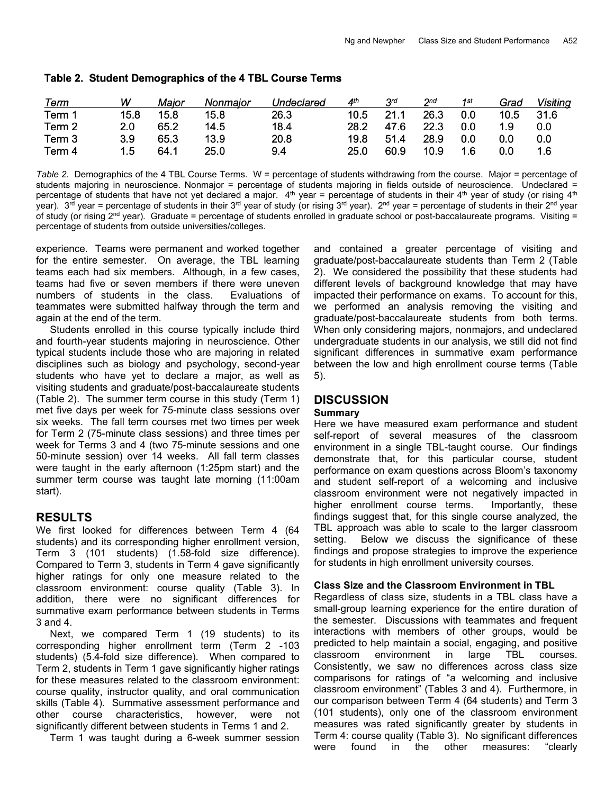| Term   | w    | Major | Nonmaior | Undeclared | 4 <sup>th</sup> | $3^{rd}$ | $2^{nd}$ | 1st | Grad | Visiting |
|--------|------|-------|----------|------------|-----------------|----------|----------|-----|------|----------|
| Term 1 | 15.8 | 15.8  | 15.8     | 26.3       | 10.5            | 21.1     | 26.3     | 0.0 | 10.5 | 31.6     |
| Term 2 | 2.0  | 65.2  | 14.5     | 18.4       | 28.2            | 47.6     | 22.3     | 0.0 | 1.9  | 0.0      |
| Term 3 | 3.9  | 65.3  | 13.9     | 20.8       | 19.8            | 51.4     | 28.9     | 0.0 | 0.0  | 0.0      |
| Term 4 | 1.5  | 64.1  | 25.0     | 9.4        | 25.0            | 60.9     | 10.9     | 1.6 | 0.0  | 1.6      |

#### Table 2. Student Demographics of the 4 TBL Course Terms

*Table 2.* Demographics of the 4 TBL Course Terms. W = percentage of students withdrawing from the course. Major = percentage of students majoring in neuroscience. Nonmajor = percentage of students majoring in fields outside of neuroscience. Undeclared = percentage of students that have not yet declared a major.  $4<sup>th</sup>$  year = percentage of students in their  $4<sup>th</sup>$  year of study (or rising  $4<sup>th</sup>$ year). 3<sup>rd</sup> year = percentage of students in their 3<sup>rd</sup> year of study (or rising 3<sup>rd</sup> year). 2<sup>nd</sup> year = percentage of students in their 2<sup>nd</sup> year of study (or rising  $2^{nd}$  year). Graduate = percentage of students enrolled in graduate school or post-baccalaureate programs. Visiting = percentage of students from outside universities/colleges.

experience. Teams were permanent and worked together for the entire semester. On average, the TBL learning teams each had six members. Although, in a few cases, teams had five or seven members if there were uneven numbers of students in the class. Evaluations of teammates were submitted halfway through the term and again at the end of the term.

 Students enrolled in this course typically include third and fourth-year students majoring in neuroscience. Other typical students include those who are majoring in related disciplines such as biology and psychology, second-year students who have yet to declare a major, as well as visiting students and graduate/post-baccalaureate students (Table 2). The summer term course in this study (Term 1) met five days per week for 75-minute class sessions over six weeks. The fall term courses met two times per week for Term 2 (75-minute class sessions) and three times per week for Terms 3 and 4 (two 75-minute sessions and one 50-minute session) over 14 weeks. All fall term classes were taught in the early afternoon (1:25pm start) and the summer term course was taught late morning (11:00am start).

### **RESULTS**

We first looked for differences between Term 4 (64 students) and its corresponding higher enrollment version, Term 3 (101 students) (1.58-fold size difference). Compared to Term 3, students in Term 4 gave significantly higher ratings for only one measure related to the classroom environment: course quality (Table 3). In addition, there were no significant differences for summative exam performance between students in Terms 3 and 4.

 Next, we compared Term 1 (19 students) to its corresponding higher enrollment term (Term 2 -103 students) (5.4-fold size difference). When compared to Term 2, students in Term 1 gave significantly higher ratings for these measures related to the classroom environment: course quality, instructor quality, and oral communication skills (Table 4). Summative assessment performance and other course characteristics, however, were not significantly different between students in Terms 1 and 2.

Term 1 was taught during a 6-week summer session

and contained a greater percentage of visiting and graduate/post-baccalaureate students than Term 2 (Table 2). We considered the possibility that these students had different levels of background knowledge that may have impacted their performance on exams. To account for this, we performed an analysis removing the visiting and graduate/post-baccalaureate students from both terms. When only considering majors, nonmajors, and undeclared undergraduate students in our analysis, we still did not find significant differences in summative exam performance between the low and high enrollment course terms (Table 5).

### **DISCUSSION**

#### **Summary**

Here we have measured exam performance and student self-report of several measures of the classroom environment in a single TBL-taught course. Our findings demonstrate that, for this particular course, student performance on exam questions across Bloom's taxonomy and student self-report of a welcoming and inclusive classroom environment were not negatively impacted in higher enrollment course terms. Importantly, these findings suggest that, for this single course analyzed, the TBL approach was able to scale to the larger classroom setting. Below we discuss the significance of these findings and propose strategies to improve the experience for students in high enrollment university courses.

#### **Class Size and the Classroom Environment in TBL**

Regardless of class size, students in a TBL class have a small-group learning experience for the entire duration of the semester. Discussions with teammates and frequent interactions with members of other groups, would be predicted to help maintain a social, engaging, and positive classroom environment in large TBL courses. Consistently, we saw no differences across class size comparisons for ratings of "a welcoming and inclusive classroom environment" (Tables 3 and 4). Furthermore, in our comparison between Term 4 (64 students) and Term 3 (101 students), only one of the classroom environment measures was rated significantly greater by students in Term 4: course quality (Table 3). No significant differences were found in the other measures: "clearly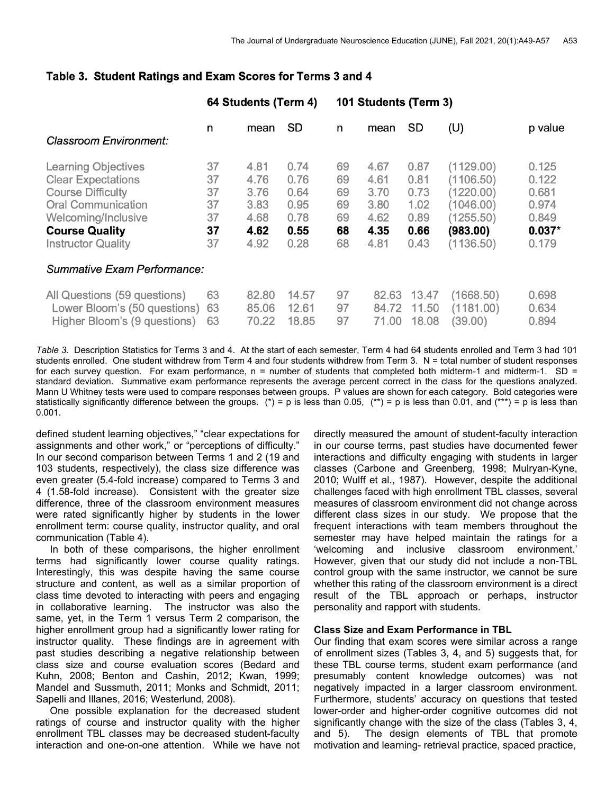|                                                                                                                                                                                               |                                        | 64 Students (Term 4)                                 |                                                      | 101 Students (Term 3)                  |                                                      |                                                      |                                                                                        |                                                                |
|-----------------------------------------------------------------------------------------------------------------------------------------------------------------------------------------------|----------------------------------------|------------------------------------------------------|------------------------------------------------------|----------------------------------------|------------------------------------------------------|------------------------------------------------------|----------------------------------------------------------------------------------------|----------------------------------------------------------------|
| <b>Classroom Environment:</b>                                                                                                                                                                 | n                                      | mean                                                 | <b>SD</b>                                            | n                                      | mean                                                 | <b>SD</b>                                            | (U)                                                                                    | p value                                                        |
| <b>Learning Objectives</b><br><b>Clear Expectations</b><br><b>Course Difficulty</b><br><b>Oral Communication</b><br>Welcoming/Inclusive<br><b>Course Quality</b><br><b>Instructor Quality</b> | 37<br>37<br>37<br>37<br>37<br>37<br>37 | 4.81<br>4.76<br>3.76<br>3.83<br>4.68<br>4.62<br>4.92 | 0.74<br>0.76<br>0.64<br>0.95<br>0.78<br>0.55<br>0.28 | 69<br>69<br>69<br>69<br>69<br>68<br>68 | 4.67<br>4.61<br>3.70<br>3.80<br>4.62<br>4.35<br>4.81 | 0.87<br>0.81<br>0.73<br>1.02<br>0.89<br>0.66<br>0.43 | (1129.00)<br>(1106.50)<br>(1220.00)<br>(1046.00)<br>(1255.50)<br>(983.00)<br>(1136.50) | 0.125<br>0.122<br>0.681<br>0.974<br>0.849<br>$0.037*$<br>0.179 |
| Summative Exam Performance:                                                                                                                                                                   |                                        |                                                      |                                                      |                                        |                                                      |                                                      |                                                                                        |                                                                |
| All Questions (59 questions)<br>Lower Bloom's (50 questions)<br>Higher Bloom's (9 questions)                                                                                                  | 63<br>63<br>63                         | 82.80<br>85.06<br>70.22                              | 14.57<br>12.61<br>18.85                              | 97<br>97<br>97                         | 82.63<br>84.72<br>71.00                              | 13.47<br>11.50<br>18.08                              | (1668.50)<br>(1181.00)<br>(39.00)                                                      | 0.698<br>0.634<br>0.894                                        |

### Table 3. Student Ratings and Exam Scores for Terms 3 and 4

*Table 3.* Description Statistics for Terms 3 and 4. At the start of each semester, Term 4 had 64 students enrolled and Term 3 had 101 students enrolled. One student withdrew from Term 4 and four students withdrew from Term 3. N = total number of student responses for each survey question. For exam performance,  $n =$  number of students that completed both midterm-1 and midterm-1. SD = standard deviation. Summative exam performance represents the average percent correct in the class for the questions analyzed. Mann U Whitney tests were used to compare responses between groups. P values are shown for each category. Bold categories were statistically significantly difference between the groups. (\*) = p is less than 0.05, (\*\*) = p is less than 0.01, and (\*\*\*) = p is less than 0.001.

defined student learning objectives," "clear expectations for assignments and other work," or "perceptions of difficulty." In our second comparison between Terms 1 and 2 (19 and 103 students, respectively), the class size difference was even greater (5.4-fold increase) compared to Terms 3 and 4 (1.58-fold increase). Consistent with the greater size difference, three of the classroom environment measures were rated significantly higher by students in the lower enrollment term: course quality, instructor quality, and oral communication (Table 4).

 In both of these comparisons, the higher enrollment terms had significantly lower course quality ratings. Interestingly, this was despite having the same course structure and content, as well as a similar proportion of class time devoted to interacting with peers and engaging in collaborative learning. The instructor was also the same, yet, in the Term 1 versus Term 2 comparison, the higher enrollment group had a significantly lower rating for instructor quality. These findings are in agreement with past studies describing a negative relationship between class size and course evaluation scores (Bedard and Kuhn, 2008; Benton and Cashin, 2012; Kwan, 1999; Mandel and Sussmuth, 2011; Monks and Schmidt, 2011; Sapelli and Illanes, 2016; Westerlund, 2008).

 One possible explanation for the decreased student ratings of course and instructor quality with the higher enrollment TBL classes may be decreased student-faculty interaction and one-on-one attention. While we have not directly measured the amount of student-faculty interaction in our course terms, past studies have documented fewer interactions and difficulty engaging with students in larger classes (Carbone and Greenberg, 1998; Mulryan-Kyne, 2010; Wulff et al., 1987). However, despite the additional challenges faced with high enrollment TBL classes, several measures of classroom environment did not change across different class sizes in our study. We propose that the frequent interactions with team members throughout the semester may have helped maintain the ratings for a 'welcoming and inclusive classroom environment.' However, given that our study did not include a non-TBL control group with the same instructor, we cannot be sure whether this rating of the classroom environment is a direct result of the TBL approach or perhaps, instructor personality and rapport with students.

#### **Class Size and Exam Performance in TBL**

Our finding that exam scores were similar across a range of enrollment sizes (Tables 3, 4, and 5) suggests that, for these TBL course terms, student exam performance (and presumably content knowledge outcomes) was not negatively impacted in a larger classroom environment. Furthermore, students' accuracy on questions that tested lower-order and higher-order cognitive outcomes did not significantly change with the size of the class (Tables 3, 4, and 5). The design elements of TBL that promote motivation and learning- retrieval practice, spaced practice,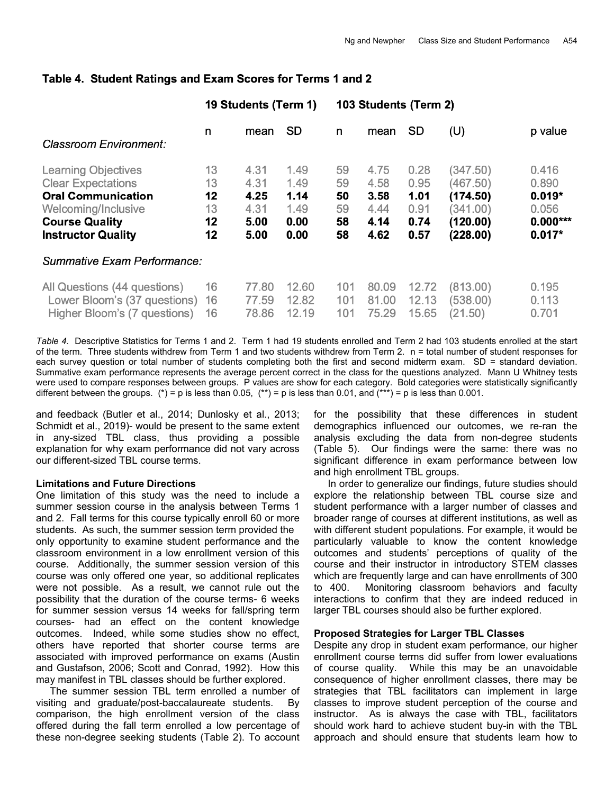|                                                                                                                                                                   |                                  | 19 Students (Term 1)                         |                                              | 103 Students (Term 2)            |                                              |                                              |                                                                      |                                                               |  |
|-------------------------------------------------------------------------------------------------------------------------------------------------------------------|----------------------------------|----------------------------------------------|----------------------------------------------|----------------------------------|----------------------------------------------|----------------------------------------------|----------------------------------------------------------------------|---------------------------------------------------------------|--|
| Classroom Environment:                                                                                                                                            | n                                | mean                                         | <b>SD</b>                                    | n                                | mean                                         | <b>SD</b>                                    | (U)                                                                  | p value                                                       |  |
| <b>Learning Objectives</b><br><b>Clear Expectations</b><br><b>Oral Communication</b><br>Welcoming/Inclusive<br><b>Course Quality</b><br><b>Instructor Quality</b> | 13<br>13<br>12<br>13<br>12<br>12 | 4.31<br>4.31<br>4.25<br>4.31<br>5.00<br>5.00 | 1.49<br>1.49<br>1.14<br>1.49<br>0.00<br>0.00 | 59<br>59<br>50<br>59<br>58<br>58 | 4.75<br>4.58<br>3.58<br>4.44<br>4.14<br>4.62 | 0.28<br>0.95<br>1.01<br>0.91<br>0.74<br>0.57 | (347.50)<br>(467.50)<br>(174.50)<br>(341.00)<br>(120.00)<br>(228.00) | 0.416<br>0.890<br>$0.019*$<br>0.056<br>$0.000***$<br>$0.017*$ |  |
| Summative Exam Performance:                                                                                                                                       |                                  |                                              |                                              |                                  |                                              |                                              |                                                                      |                                                               |  |
| All Questions (44 questions)<br>Lower Bloom's (37 questions)<br>Higher Bloom's (7 questions)                                                                      | 16<br>16<br>16                   | 77.80<br>77.59<br>78.86                      | 12.60<br>12.82<br>12.19                      | 101<br>101<br>101                | 80.09<br>81.00<br>75.29                      | 12.72<br>12.13<br>15.65                      | (813.00)<br>(538.00)<br>(21.50)                                      | 0.195<br>0.113<br>0.701                                       |  |

# Table 4. Student Ratings and Exam Scores for Terms 1 and 2

*Table 4.* Descriptive Statistics for Terms 1 and 2. Term 1 had 19 students enrolled and Term 2 had 103 students enrolled at the start of the term. Three students withdrew from Term 1 and two students withdrew from Term 2. n = total number of student responses for each survey question or total number of students completing both the first and second midterm exam. SD = standard deviation. Summative exam performance represents the average percent correct in the class for the questions analyzed. Mann U Whitney tests were used to compare responses between groups. P values are show for each category. Bold categories were statistically significantly different between the groups. (\*) = p is less than 0.05, (\*\*) = p is less than 0.01, and (\*\*\*) = p is less than 0.001.

and feedback (Butler et al., 2014; Dunlosky et al., 2013; Schmidt et al., 2019)- would be present to the same extent in any-sized TBL class, thus providing a possible explanation for why exam performance did not vary across our different-sized TBL course terms.

#### **Limitations and Future Directions**

One limitation of this study was the need to include a summer session course in the analysis between Terms 1 and 2. Fall terms for this course typically enroll 60 or more students. As such, the summer session term provided the only opportunity to examine student performance and the classroom environment in a low enrollment version of this course. Additionally, the summer session version of this course was only offered one year, so additional replicates were not possible. As a result, we cannot rule out the possibility that the duration of the course terms- 6 weeks for summer session versus 14 weeks for fall/spring term courses- had an effect on the content knowledge outcomes. Indeed, while some studies show no effect, others have reported that shorter course terms are associated with improved performance on exams (Austin and Gustafson, 2006; Scott and Conrad, 1992). How this may manifest in TBL classes should be further explored.

 The summer session TBL term enrolled a number of visiting and graduate/post-baccalaureate students. By comparison, the high enrollment version of the class offered during the fall term enrolled a low percentage of these non-degree seeking students (Table 2). To account for the possibility that these differences in student demographics influenced our outcomes, we re-ran the analysis excluding the data from non-degree students (Table 5). Our findings were the same: there was no significant difference in exam performance between low and high enrollment TBL groups.

 In order to generalize our findings, future studies should explore the relationship between TBL course size and student performance with a larger number of classes and broader range of courses at different institutions, as well as with different student populations. For example, it would be particularly valuable to know the content knowledge outcomes and students' perceptions of quality of the course and their instructor in introductory STEM classes which are frequently large and can have enrollments of 300 to 400. Monitoring classroom behaviors and faculty interactions to confirm that they are indeed reduced in larger TBL courses should also be further explored.

#### **Proposed Strategies for Larger TBL Classes**

Despite any drop in student exam performance, our higher enrollment course terms did suffer from lower evaluations of course quality. While this may be an unavoidable consequence of higher enrollment classes, there may be strategies that TBL facilitators can implement in large classes to improve student perception of the course and instructor. As is always the case with TBL, facilitators should work hard to achieve student buy-in with the TBL approach and should ensure that students learn how to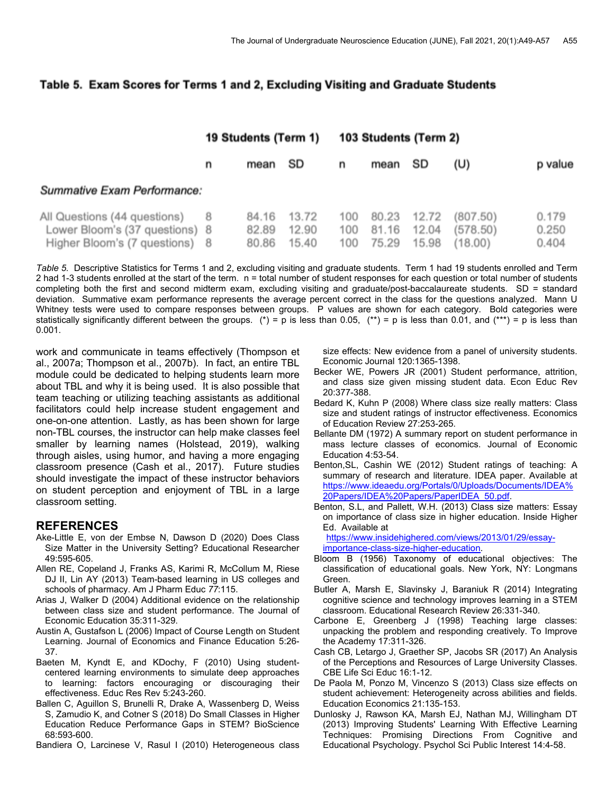### Table 5. Exam Scores for Terms 1 and 2, Excluding Visiting and Graduate Students

|                                                                                                | 19 Students (Term 1) |                         | 103 Students (Term 2)   |                   |                         |                         |                                |                         |
|------------------------------------------------------------------------------------------------|----------------------|-------------------------|-------------------------|-------------------|-------------------------|-------------------------|--------------------------------|-------------------------|
|                                                                                                | n                    | mean                    | SD                      | n                 | mean                    | SD                      | (U)                            | p value                 |
| Summative Exam Performance:                                                                    |                      |                         |                         |                   |                         |                         |                                |                         |
| All Questions (44 questions)<br>Lower Bloom's (37 questions) 8<br>Higher Bloom's (7 questions) |                      | 84.16<br>82.89<br>80.86 | 13.72<br>12.90<br>15.40 | 100<br>100<br>100 | 80.23<br>81.16<br>75.29 | 12.72<br>12.04<br>15.98 | (807.50)<br>(578.50)<br>18.00) | 0.179<br>0.250<br>0.404 |

*Table 5.* Descriptive Statistics for Terms 1 and 2, excluding visiting and graduate students. Term 1 had 19 students enrolled and Term 2 had 1-3 students enrolled at the start of the term. n = total number of student responses for each question or total number of students completing both the first and second midterm exam, excluding visiting and graduate/post-baccalaureate students. SD = standard deviation. Summative exam performance represents the average percent correct in the class for the questions analyzed. Mann U Whitney tests were used to compare responses between groups. P values are shown for each category. Bold categories were statistically significantly different between the groups. (\*) = p is less than 0.05, (\*\*) = p is less than 0.01, and (\*\*\*) = p is less than 0.001.

work and communicate in teams effectively (Thompson et al., 2007a; Thompson et al., 2007b). In fact, an entire TBL module could be dedicated to helping students learn more about TBL and why it is being used. It is also possible that team teaching or utilizing teaching assistants as additional facilitators could help increase student engagement and one-on-one attention. Lastly, as has been shown for large non-TBL courses, the instructor can help make classes feel smaller by learning names (Holstead, 2019), walking through aisles, using humor, and having a more engaging classroom presence (Cash et al., 2017). Future studies should investigate the impact of these instructor behaviors on student perception and enjoyment of TBL in a large classroom setting.

### **REFERENCES**

- Ake-Little E, von der Embse N, Dawson D (2020) Does Class Size Matter in the University Setting? Educational Researcher 49:595-605.
- Allen RE, Copeland J, Franks AS, Karimi R, McCollum M, Riese DJ II, Lin AY (2013) Team-based learning in US colleges and schools of pharmacy. Am J Pharm Educ *77*:115.
- Arias J, Walker D (2004) Additional evidence on the relationship between class size and student performance. The Journal of Economic Education 35:311-329.
- Austin A, Gustafson L (2006) Impact of Course Length on Student Learning. Journal of Economics and Finance Education 5:26- 37.
- Baeten M, Kyndt E, and KDochy, F (2010) Using studentcentered learning environments to simulate deep approaches to learning: factors encouraging or discouraging their effectiveness. Educ Res Rev 5:243-260.
- Ballen C, Aguillon S, Brunelli R, Drake A, Wassenberg D, Weiss S, Zamudio K, and Cotner S (2018) Do Small Classes in Higher Education Reduce Performance Gaps in STEM? BioScience 68:593-600.
- Bandiera O, Larcinese V, Rasul I (2010) Heterogeneous class

size effects: New evidence from a panel of university students. Economic Journal 120:1365-1398.

- Becker WE, Powers JR (2001) Student performance, attrition, and class size given missing student data. Econ Educ Rev 20:377-388.
- Bedard K, Kuhn P (2008) Where class size really matters: Class size and student ratings of instructor effectiveness. Economics of Education Review 27:253-265.
- Bellante DM (1972) A summary report on student performance in mass lecture classes of economics. Journal of Economic Education 4:53-54.
- Benton,SL, Cashin WE (2012) Student ratings of teaching: A summary of research and literature. IDEA paper. Available at https://www.ideaedu.org/Portals/0/Uploads/Documents/IDEA% 20Papers/IDEA%20Papers/PaperIDEA\_50.pdf.
- Benton, S.L, and Pallett, W.H. (2013) Class size matters: Essay on importance of class size in higher education. Inside Higher Ed. Available at

https://www.insidehighered.com/views/2013/01/29/essayimportance-class-size-higher-education.

- Bloom B (1956) Taxonomy of educational objectives: The classification of educational goals. New York, NY: Longmans Green.
- Butler A, Marsh E, Slavinsky J, Baraniuk R (2014) Integrating cognitive science and technology improves learning in a STEM classroom. Educational Research Review 26:331-340.
- Carbone E, Greenberg J (1998) Teaching large classes: unpacking the problem and responding creatively. To Improve the Academy 17:311-326.
- Cash CB, Letargo J, Graether SP, Jacobs SR (2017) An Analysis of the Perceptions and Resources of Large University Classes. CBE Life Sci Educ 16:1-12.
- De Paola M, Ponzo M, Vincenzo S (2013) Class size effects on student achievement: Heterogeneity across abilities and fields. Education Economics 21:135-153.
- Dunlosky J, Rawson KA, Marsh EJ, Nathan MJ, Willingham DT (2013) Improving Students' Learning With Effective Learning Techniques: Promising Directions From Cognitive and Educational Psychology. Psychol Sci Public Interest 14:4-58.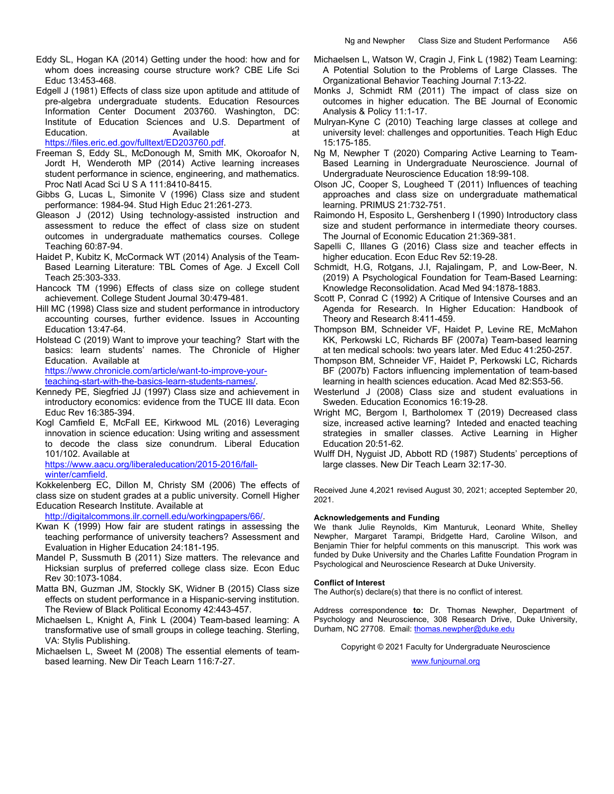- Eddy SL, Hogan KA (2014) Getting under the hood: how and for whom does increasing course structure work? CBE Life Sci Educ 13:453-468.
- Edgell J (1981) Effects of class size upon aptitude and attitude of pre-algebra undergraduate students. Education Resources Information Center Document 203760. Washington, DC: Institute of Education Sciences and U.S. Department of Education. **Available at the set of the set of the set of the set of the set of the set of the set of the set of the set of the set of the set of the set of the set of the set of the set of the set of the set of the set**

https://files.eric.ed.gov/fulltext/ED203760.pdf.

- Freeman S, Eddy SL, McDonough M, Smith MK, Okoroafor N, Jordt H, Wenderoth MP (2014) Active learning increases student performance in science, engineering, and mathematics. Proc Natl Acad Sci U S A 111:8410-8415.
- Gibbs G, Lucas L, Simonite V (1996) Class size and student performance: 1984-94. Stud High Educ 21:261-273.
- Gleason J (2012) Using technology-assisted instruction and assessment to reduce the effect of class size on student outcomes in undergraduate mathematics courses. College Teaching 60:87-94.
- Haidet P, Kubitz K, McCormack WT (2014) Analysis of the Team-Based Learning Literature: TBL Comes of Age. J Excell Coll Teach 25:303-333.
- Hancock TM (1996) Effects of class size on college student achievement. College Student Journal 30:479-481.
- Hill MC (1998) Class size and student performance in introductory accounting courses, further evidence. Issues in Accounting Education 13:47-64.
- Holstead C (2019) Want to improve your teaching? Start with the basics: learn students' names. The Chronicle of Higher Education. Available at

https://www.chronicle.com/article/want-to-improve-your-

teaching-start-with-the-basics-learn-students-names/.

- Kennedy PE, Siegfried JJ (1997) Class size and achievement in introductory economics: evidence from the TUCE III data. Econ Educ Rev 16:385-394.
- Kogl Camfield E, McFall EE, Kirkwood ML (2016) Leveraging innovation in science education: Using writing and assessment to decode the class size conundrum. Liberal Education 101/102. Available at

https://www.aacu.org/liberaleducation/2015-2016/fallwinter/camfield.

Kokkelenberg EC, Dillon M, Christy SM (2006) The effects of class size on student grades at a public university. Cornell Higher Education Research Institute. Available at

http://digitalcommons.ilr.cornell.edu/workingpapers/66/.

- Kwan K (1999) How fair are student ratings in assessing the teaching performance of university teachers? Assessment and Evaluation in Higher Education 24:181-195.
- Mandel P, Sussmuth B (2011) Size matters. The relevance and Hicksian surplus of preferred college class size. Econ Educ Rev 30:1073-1084.
- Matta BN, Guzman JM, Stockly SK, Widner B (2015) Class size effects on student performance in a Hispanic-serving institution. The Review of Black Political Economy 42:443-457.
- Michaelsen L, Knight A, Fink L (2004) Team-based learning: A transformative use of small groups in college teaching. Sterling, VA: Stylis Publishing.
- Michaelsen L, Sweet M (2008) The essential elements of teambased learning. New Dir Teach Learn 116:7-27.
- Michaelsen L, Watson W, Cragin J, Fink L (1982) Team Learning: A Potential Solution to the Problems of Large Classes. The Organizational Behavior Teaching Journal 7:13-22.
- Monks J, Schmidt RM (2011) The impact of class size on outcomes in higher education. The BE Journal of Economic Analysis & Policy 11:1-17.
- Mulryan-Kyne C (2010) Teaching large classes at college and university level: challenges and opportunities. Teach High Educ 15:175-185.
- Ng M, Newpher T (2020) Comparing Active Learning to Team-Based Learning in Undergraduate Neuroscience. Journal of Undergraduate Neuroscience Education 18:99-108.
- Olson JC, Cooper S, Lougheed T (2011) Influences of teaching approaches and class size on undergraduate mathematical learning. PRIMUS 21:732-751.
- Raimondo H, Esposito L, Gershenberg I (1990) Introductory class size and student performance in intermediate theory courses. The Journal of Economic Education 21:369-381.
- Sapelli C, Illanes G (2016) Class size and teacher effects in higher education. Econ Educ Rev 52:19-28.
- Schmidt, H.G, Rotgans, J.I, Rajalingam, P, and Low-Beer, N. (2019) A Psychological Foundation for Team-Based Learning: Knowledge Reconsolidation. Acad Med 94:1878-1883.
- Scott P, Conrad C (1992) A Critique of Intensive Courses and an Agenda for Research. In Higher Education: Handbook of Theory and Research 8:411-459.
- Thompson BM, Schneider VF, Haidet P, Levine RE, McMahon KK, Perkowski LC, Richards BF (2007a) Team-based learning at ten medical schools: two years later. Med Educ 41:250-257.
- Thompson BM, Schneider VF, Haidet P, Perkowski LC, Richards BF (2007b) Factors influencing implementation of team-based learning in health sciences education. Acad Med 82:S53-56.
- Westerlund J (2008) Class size and student evaluations in Sweden. Education Economics 16:19-28.
- Wright MC, Bergom I, Bartholomex T (2019) Decreased class size, increased active learning? Inteded and enacted teaching strategies in smaller classes. Active Learning in Higher Education 20:51-62.
- Wulff DH, Nyguist JD, Abbott RD (1987) Students' perceptions of large classes. New Dir Teach Learn 32:17-30.

Received June 4,2021 revised August 30, 2021; accepted September 20, 2021.

#### **Acknowledgements and Funding**

We thank Julie Reynolds, Kim Manturuk, Leonard White, Shelley Newpher, Margaret Tarampi, Bridgette Hard, Caroline Wilson, and Benjamin Thier for helpful comments on this manuscript. This work was funded by Duke University and the Charles Lafitte Foundation Program in Psychological and Neuroscience Research at Duke University.

#### **Conflict of Interest**

The Author(s) declare(s) that there is no conflict of interest.

Address correspondence **to:** Dr. Thomas Newpher, Department of Psychology and Neuroscience, 308 Research Drive, Duke University, Durham, NC 27708. Email: thomas.newpher@duke.edu

Copyright © 2021 Faculty for Undergraduate Neuroscience

www.funjournal.org